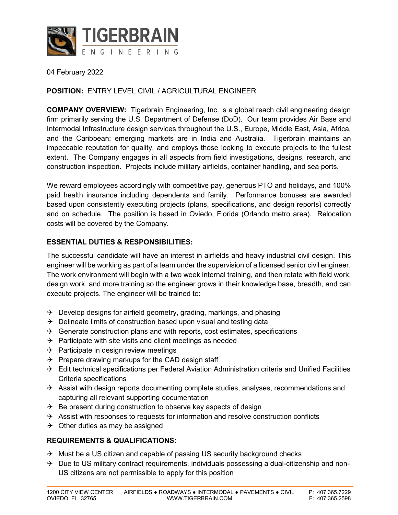

04 February 2022

#### **POSITION:** ENTRY LEVEL CIVIL / AGRICULTURAL ENGINEER

**COMPANY OVERVIEW:** Tigerbrain Engineering, Inc. is a global reach civil engineering design firm primarily serving the U.S. Department of Defense (DoD). Our team provides Air Base and Intermodal Infrastructure design services throughout the U.S., Europe, Middle East, Asia, Africa, and the Caribbean; emerging markets are in India and Australia. Tigerbrain maintains an impeccable reputation for quality, and employs those looking to execute projects to the fullest extent. The Company engages in all aspects from field investigations, designs, research, and construction inspection. Projects include military airfields, container handling, and sea ports.

We reward employees accordingly with competitive pay, generous PTO and holidays, and 100% paid health insurance including dependents and family. Performance bonuses are awarded based upon consistently executing projects (plans, specifications, and design reports) correctly and on schedule. The position is based in Oviedo, Florida (Orlando metro area). Relocation costs will be covered by the Company.

#### **ESSENTIAL DUTIES & RESPONSIBILITIES:**

The successful candidate will have an interest in airfields and heavy industrial civil design. This engineer will be working as part of a team under the supervision of a licensed senior civil engineer. The work environment will begin with a two week internal training, and then rotate with field work, design work, and more training so the engineer grows in their knowledge base, breadth, and can execute projects. The engineer will be trained to:

- $\rightarrow$  Develop designs for airfield geometry, grading, markings, and phasing
- $\rightarrow$  Delineate limits of construction based upon visual and testing data
- $\rightarrow$  Generate construction plans and with reports, cost estimates, specifications
- $\rightarrow$  Participate with site visits and client meetings as needed
- $\rightarrow$  Participate in design review meetings
- $\rightarrow$  Prepare drawing markups for the CAD design staff
- $\rightarrow$  Edit technical specifications per Federal Aviation Administration criteria and Unified Facilities Criteria specifications
- $\rightarrow$  Assist with design reports documenting complete studies, analyses, recommendations and capturing all relevant supporting documentation
- $\rightarrow$  Be present during construction to observe key aspects of design
- $\rightarrow$  Assist with responses to requests for information and resolve construction conflicts
- $\rightarrow$  Other duties as may be assigned

#### **REQUIREMENTS & QUALIFICATIONS:**

- $\rightarrow$  Must be a US citizen and capable of passing US security background checks
- $\rightarrow$  Due to US military contract requirements, individuals possessing a dual-citizenship and non-US citizens are not permissible to apply for this position